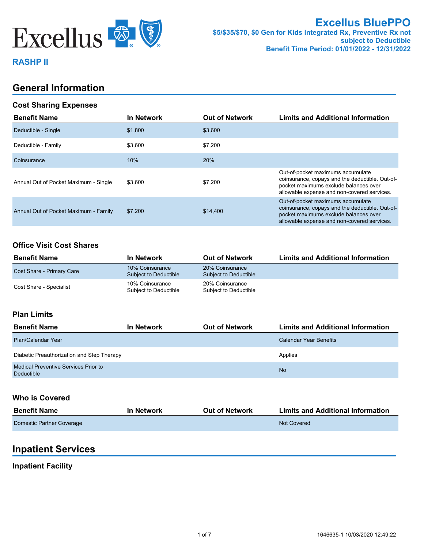

### **RASHP II**

# **General Information**

#### **Cost Sharing Expenses**

| <b>Benefit Name</b>                   | <b>In Network</b> | <b>Out of Network</b> | <b>Limits and Additional Information</b>                                                                                                                                     |
|---------------------------------------|-------------------|-----------------------|------------------------------------------------------------------------------------------------------------------------------------------------------------------------------|
| Deductible - Single                   | \$1,800           | \$3,600               |                                                                                                                                                                              |
| Deductible - Family                   | \$3.600           | \$7,200               |                                                                                                                                                                              |
| Coinsurance                           | 10%               | 20%                   |                                                                                                                                                                              |
| Annual Out of Pocket Maximum - Single | \$3.600           | \$7,200               | Out-of-pocket maximums accumulate<br>coinsurance, copays and the deductible. Out-of-<br>pocket maximums exclude balances over<br>allowable expense and non-covered services. |
| Annual Out of Pocket Maximum - Family | \$7.200           | \$14,400              | Out-of-pocket maximums accumulate<br>coinsurance, copays and the deductible. Out-of-<br>pocket maximums exclude balances over<br>allowable expense and non-covered services. |

### **Office Visit Cost Shares**

| <b>Benefit Name</b>       | <b>In Network</b>                        | <b>Out of Network</b>                    | <b>Limits and Additional Information</b> |
|---------------------------|------------------------------------------|------------------------------------------|------------------------------------------|
| Cost Share - Primary Care | 10% Coinsurance<br>Subject to Deductible | 20% Coinsurance<br>Subject to Deductible |                                          |
| Cost Share - Specialist   | 10% Coinsurance<br>Subject to Deductible | 20% Coinsurance<br>Subject to Deductible |                                          |

### **Plan Limits**

| <b>Benefit Name</b>                                | In Network | <b>Out of Network</b> | <b>Limits and Additional Information</b> |
|----------------------------------------------------|------------|-----------------------|------------------------------------------|
| Plan/Calendar Year                                 |            |                       | Calendar Year Benefits                   |
| Diabetic Preauthorization and Step Therapy         |            |                       | Applies                                  |
| Medical Preventive Services Prior to<br>Deductible |            |                       | <b>No</b>                                |

#### **Who is Covered**

| <b>Benefit Name</b>       | <b>In Network</b> | <b>Out of Network</b> | <b>Limits and Additional Information</b> |
|---------------------------|-------------------|-----------------------|------------------------------------------|
| Domestic Partner Coverage |                   |                       | <b>Not Covered</b>                       |

# **Inpatient Services**

#### **Inpatient Facility**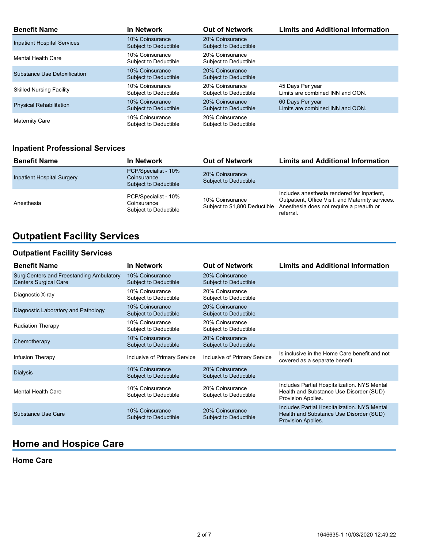| <b>Benefit Name</b>                | In Network                               | <b>Out of Network</b>                           | <b>Limits and Additional Information</b>             |
|------------------------------------|------------------------------------------|-------------------------------------------------|------------------------------------------------------|
| <b>Inpatient Hospital Services</b> | 10% Coinsurance<br>Subject to Deductible | 20% Coinsurance<br><b>Subject to Deductible</b> |                                                      |
| Mental Health Care                 | 10% Coinsurance<br>Subject to Deductible | 20% Coinsurance<br>Subject to Deductible        |                                                      |
| Substance Use Detoxification       | 10% Coinsurance<br>Subject to Deductible | 20% Coinsurance<br><b>Subject to Deductible</b> |                                                      |
| <b>Skilled Nursing Facility</b>    | 10% Coinsurance<br>Subject to Deductible | 20% Coinsurance<br>Subject to Deductible        | 45 Days Per year<br>Limits are combined INN and OON. |
| <b>Physical Rehabilitation</b>     | 10% Coinsurance<br>Subject to Deductible | 20% Coinsurance<br>Subject to Deductible        | 60 Days Per year<br>Limits are combined INN and OON. |
| <b>Maternity Care</b>              | 10% Coinsurance<br>Subject to Deductible | 20% Coinsurance<br><b>Subject to Deductible</b> |                                                      |

### **Inpatient Professional Services**

| <b>Benefit Name</b>               | In Network                                                   | <b>Out of Network</b>                            | <b>Limits and Additional Information</b>                                                                                                                  |
|-----------------------------------|--------------------------------------------------------------|--------------------------------------------------|-----------------------------------------------------------------------------------------------------------------------------------------------------------|
| <b>Inpatient Hospital Surgery</b> | PCP/Specialist - 10%<br>Coinsurance<br>Subject to Deductible | 20% Coinsurance<br>Subject to Deductible         |                                                                                                                                                           |
| Anesthesia                        | PCP/Specialist - 10%<br>Coinsurance<br>Subject to Deductible | 10% Coinsurance<br>Subject to \$1,800 Deductible | Includes anesthesia rendered for Inpatient,<br>Outpatient, Office Visit, and Maternity services.<br>Anesthesia does not require a preauth or<br>referral. |

# **Outpatient Facility Services**

## **Outpatient Facility Services**

| <b>Benefit Name</b>                                                      | <b>In Network</b>                               | <b>Out of Network</b>                    | <b>Limits and Additional Information</b>                                                                      |
|--------------------------------------------------------------------------|-------------------------------------------------|------------------------------------------|---------------------------------------------------------------------------------------------------------------|
| SurgiCenters and Freestanding Ambulatory<br><b>Centers Surgical Care</b> | 10% Coinsurance<br>Subject to Deductible        | 20% Coinsurance<br>Subject to Deductible |                                                                                                               |
| Diagnostic X-ray                                                         | 10% Coinsurance<br>Subject to Deductible        | 20% Coinsurance<br>Subject to Deductible |                                                                                                               |
| Diagnostic Laboratory and Pathology                                      | 10% Coinsurance<br><b>Subject to Deductible</b> | 20% Coinsurance<br>Subject to Deductible |                                                                                                               |
| <b>Radiation Therapy</b>                                                 | 10% Coinsurance<br>Subject to Deductible        | 20% Coinsurance<br>Subject to Deductible |                                                                                                               |
| Chemotherapy                                                             | 10% Coinsurance<br>Subject to Deductible        | 20% Coinsurance<br>Subject to Deductible |                                                                                                               |
| Infusion Therapy                                                         | Inclusive of Primary Service                    | Inclusive of Primary Service             | Is inclusive in the Home Care benefit and not<br>covered as a separate benefit.                               |
| <b>Dialysis</b>                                                          | 10% Coinsurance<br><b>Subject to Deductible</b> | 20% Coinsurance<br>Subject to Deductible |                                                                                                               |
| <b>Mental Health Care</b>                                                | 10% Coinsurance<br>Subject to Deductible        | 20% Coinsurance<br>Subject to Deductible | Includes Partial Hospitalization. NYS Mental<br>Health and Substance Use Disorder (SUD)<br>Provision Applies. |
| Substance Use Care                                                       | 10% Coinsurance<br><b>Subject to Deductible</b> | 20% Coinsurance<br>Subject to Deductible | Includes Partial Hospitalization. NYS Mental<br>Health and Substance Use Disorder (SUD)<br>Provision Applies. |

# **Home and Hospice Care**

#### **Home Care**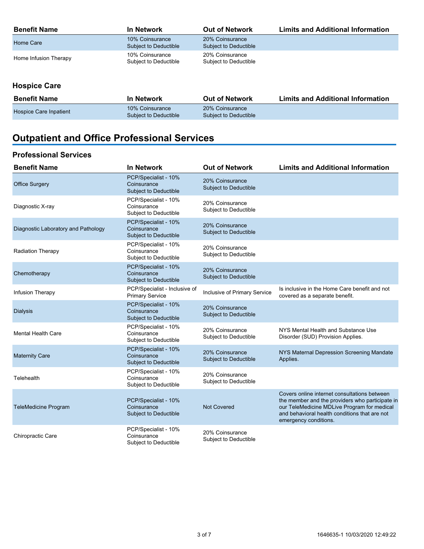| <b>Benefit Name</b>   | <b>In Network</b>                        | <b>Out of Network</b>                    | <b>Limits and Additional Information</b> |
|-----------------------|------------------------------------------|------------------------------------------|------------------------------------------|
| Home Care             | 10% Coinsurance<br>Subject to Deductible | 20% Coinsurance<br>Subject to Deductible |                                          |
| Home Infusion Therapy | 10% Coinsurance<br>Subject to Deductible | 20% Coinsurance<br>Subject to Deductible |                                          |
| <b>Hospice Care</b>   |                                          |                                          |                                          |
| <b>Benefit Name</b>   | In Network                               | Out of Network                           | imits and Additional Information         |

| <b>Benefit Name</b>    | In Network                               | <b>Out of Network</b>                    | <b>Limits and Additional Information</b> |
|------------------------|------------------------------------------|------------------------------------------|------------------------------------------|
| Hospice Care Inpatient | 10% Coinsurance<br>Subject to Deductible | 20% Coinsurance<br>Subject to Deductible |                                          |

# **Outpatient and Office Professional Services**

# **Professional Services**

| <b>Benefit Name</b>                 | <b>In Network</b>                                            | <b>Out of Network</b>                    | <b>Limits and Additional Information</b>                                                                                                                                                                                 |
|-------------------------------------|--------------------------------------------------------------|------------------------------------------|--------------------------------------------------------------------------------------------------------------------------------------------------------------------------------------------------------------------------|
| <b>Office Surgery</b>               | PCP/Specialist - 10%<br>Coinsurance<br>Subject to Deductible | 20% Coinsurance<br>Subject to Deductible |                                                                                                                                                                                                                          |
| Diagnostic X-ray                    | PCP/Specialist - 10%<br>Coinsurance<br>Subject to Deductible | 20% Coinsurance<br>Subject to Deductible |                                                                                                                                                                                                                          |
| Diagnostic Laboratory and Pathology | PCP/Specialist - 10%<br>Coinsurance<br>Subject to Deductible | 20% Coinsurance<br>Subject to Deductible |                                                                                                                                                                                                                          |
| <b>Radiation Therapy</b>            | PCP/Specialist - 10%<br>Coinsurance<br>Subject to Deductible | 20% Coinsurance<br>Subject to Deductible |                                                                                                                                                                                                                          |
| Chemotherapy                        | PCP/Specialist - 10%<br>Coinsurance<br>Subject to Deductible | 20% Coinsurance<br>Subject to Deductible |                                                                                                                                                                                                                          |
| Infusion Therapy                    | PCP/Specialist - Inclusive of<br><b>Primary Service</b>      | Inclusive of Primary Service             | Is inclusive in the Home Care benefit and not<br>covered as a separate benefit.                                                                                                                                          |
| <b>Dialysis</b>                     | PCP/Specialist - 10%<br>Coinsurance<br>Subject to Deductible | 20% Coinsurance<br>Subject to Deductible |                                                                                                                                                                                                                          |
| <b>Mental Health Care</b>           | PCP/Specialist - 10%<br>Coinsurance<br>Subject to Deductible | 20% Coinsurance<br>Subject to Deductible | NYS Mental Health and Substance Use<br>Disorder (SUD) Provision Applies.                                                                                                                                                 |
| <b>Maternity Care</b>               | PCP/Specialist - 10%<br>Coinsurance<br>Subject to Deductible | 20% Coinsurance<br>Subject to Deductible | NYS Maternal Depression Screening Mandate<br>Applies.                                                                                                                                                                    |
| Telehealth                          | PCP/Specialist - 10%<br>Coinsurance<br>Subject to Deductible | 20% Coinsurance<br>Subject to Deductible |                                                                                                                                                                                                                          |
| TeleMedicine Program                | PCP/Specialist - 10%<br>Coinsurance<br>Subject to Deductible | <b>Not Covered</b>                       | Covers online internet consultations between<br>the member and the providers who participate in<br>our TeleMedicine MDLive Program for medical<br>and behavioral health conditions that are not<br>emergency conditions. |
| Chiropractic Care                   | PCP/Specialist - 10%<br>Coinsurance<br>Subject to Deductible | 20% Coinsurance<br>Subject to Deductible |                                                                                                                                                                                                                          |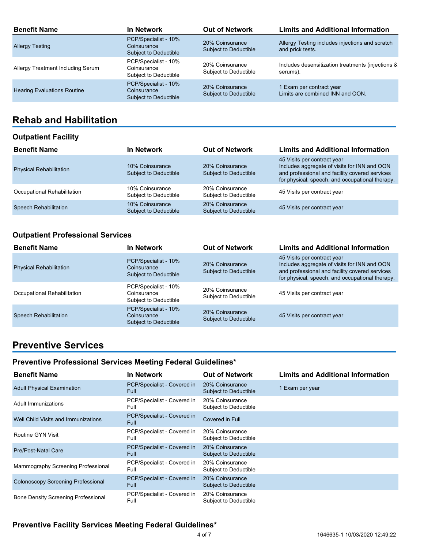| <b>Benefit Name</b>                | <b>In Network</b>                                            | <b>Out of Network</b>                           | <b>Limits and Additional Information</b>                            |
|------------------------------------|--------------------------------------------------------------|-------------------------------------------------|---------------------------------------------------------------------|
| <b>Allergy Testing</b>             | PCP/Specialist - 10%<br>Coinsurance<br>Subject to Deductible | 20% Coinsurance<br>Subject to Deductible        | Allergy Testing includes injections and scratch<br>and prick tests. |
| Allergy Treatment Including Serum  | PCP/Specialist - 10%<br>Coinsurance<br>Subject to Deductible | 20% Coinsurance<br>Subject to Deductible        | Includes desensitization treatments (injections &<br>serums).       |
| <b>Hearing Evaluations Routine</b> | PCP/Specialist - 10%<br>Coinsurance<br>Subject to Deductible | 20% Coinsurance<br><b>Subject to Deductible</b> | I Exam per contract year<br>Limits are combined INN and OON.        |

# **Rehab and Habilitation**

### **Outpatient Facility**

| <b>Benefit Name</b>            | In Network                               | <b>Out of Network</b>                    | <b>Limits and Additional Information</b>                                                                                                                                         |
|--------------------------------|------------------------------------------|------------------------------------------|----------------------------------------------------------------------------------------------------------------------------------------------------------------------------------|
| <b>Physical Rehabilitation</b> | 10% Coinsurance<br>Subject to Deductible | 20% Coinsurance<br>Subject to Deductible | 45 Visits per contract year<br>Includes aggregate of visits for INN and OON<br>and professional and facility covered services<br>for physical, speech, and occupational therapy. |
| Occupational Rehabilitation    | 10% Coinsurance<br>Subject to Deductible | 20% Coinsurance<br>Subject to Deductible | 45 Visits per contract year                                                                                                                                                      |
| <b>Speech Rehabilitation</b>   | 10% Coinsurance<br>Subject to Deductible | 20% Coinsurance<br>Subject to Deductible | 45 Visits per contract year                                                                                                                                                      |

## **Outpatient Professional Services**

| <b>Benefit Name</b>            | In Network                                                   | <b>Out of Network</b>                    | <b>Limits and Additional Information</b>                                                                                                                                         |
|--------------------------------|--------------------------------------------------------------|------------------------------------------|----------------------------------------------------------------------------------------------------------------------------------------------------------------------------------|
| <b>Physical Rehabilitation</b> | PCP/Specialist - 10%<br>Coinsurance<br>Subject to Deductible | 20% Coinsurance<br>Subject to Deductible | 45 Visits per contract year<br>Includes aggregate of visits for INN and OON<br>and professional and facility covered services<br>for physical, speech, and occupational therapy. |
| Occupational Rehabilitation    | PCP/Specialist - 10%<br>Coinsurance<br>Subject to Deductible | 20% Coinsurance<br>Subject to Deductible | 45 Visits per contract year                                                                                                                                                      |
| <b>Speech Rehabilitation</b>   | PCP/Specialist - 10%<br>Coinsurance<br>Subject to Deductible | 20% Coinsurance<br>Subject to Deductible | 45 Visits per contract year                                                                                                                                                      |

# **Preventive Services**

## **Preventive Professional Services Meeting Federal Guidelines\***

| <b>Benefit Name</b>                        | <b>In Network</b>                          | <b>Out of Network</b>                    | <b>Limits and Additional Information</b> |
|--------------------------------------------|--------------------------------------------|------------------------------------------|------------------------------------------|
| <b>Adult Physical Examination</b>          | PCP/Specialist - Covered in<br><b>Full</b> | 20% Coinsurance<br>Subject to Deductible | 1 Exam per year                          |
| Adult Immunizations                        | PCP/Specialist - Covered in<br>Full        | 20% Coinsurance<br>Subject to Deductible |                                          |
| Well Child Visits and Immunizations        | PCP/Specialist - Covered in<br><b>Full</b> | Covered in Full                          |                                          |
| Routine GYN Visit                          | PCP/Specialist - Covered in<br>Full        | 20% Coinsurance<br>Subject to Deductible |                                          |
| <b>Pre/Post-Natal Care</b>                 | PCP/Specialist - Covered in<br><b>Full</b> | 20% Coinsurance<br>Subject to Deductible |                                          |
| Mammography Screening Professional         | PCP/Specialist - Covered in<br>Full        | 20% Coinsurance<br>Subject to Deductible |                                          |
| Colonoscopy Screening Professional         | PCP/Specialist - Covered in<br><b>Full</b> | 20% Coinsurance<br>Subject to Deductible |                                          |
| <b>Bone Density Screening Professional</b> | PCP/Specialist - Covered in<br>Full        | 20% Coinsurance<br>Subject to Deductible |                                          |

# **Preventive Facility Services Meeting Federal Guidelines\***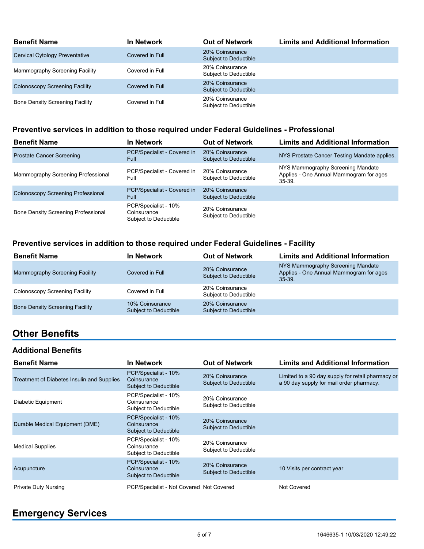| <b>Benefit Name</b>                    | In Network      | <b>Out of Network</b>                    | <b>Limits and Additional Information</b> |
|----------------------------------------|-----------------|------------------------------------------|------------------------------------------|
| <b>Cervical Cytology Preventative</b>  | Covered in Full | 20% Coinsurance<br>Subject to Deductible |                                          |
| Mammography Screening Facility         | Covered in Full | 20% Coinsurance<br>Subject to Deductible |                                          |
| <b>Colonoscopy Screening Facility</b>  | Covered in Full | 20% Coinsurance<br>Subject to Deductible |                                          |
| <b>Bone Density Screening Facility</b> | Covered in Full | 20% Coinsurance<br>Subject to Deductible |                                          |

#### **Preventive services in addition to those required under Federal Guidelines - Professional**

| <b>Benefit Name</b>                        | <b>In Network</b>                                            | <b>Out of Network</b>                           | <b>Limits and Additional Information</b>                                               |
|--------------------------------------------|--------------------------------------------------------------|-------------------------------------------------|----------------------------------------------------------------------------------------|
| <b>Prostate Cancer Screening</b>           | PCP/Specialist - Covered in<br><b>Full</b>                   | 20% Coinsurance<br><b>Subject to Deductible</b> | NYS Prostate Cancer Testing Mandate applies.                                           |
| Mammography Screening Professional         | PCP/Specialist - Covered in<br>Full                          | 20% Coinsurance<br>Subject to Deductible        | NYS Mammography Screening Mandate<br>Applies - One Annual Mammogram for ages<br>35-39. |
| Colonoscopy Screening Professional         | PCP/Specialist - Covered in<br><b>Full</b>                   | 20% Coinsurance<br><b>Subject to Deductible</b> |                                                                                        |
| <b>Bone Density Screening Professional</b> | PCP/Specialist - 10%<br>Coinsurance<br>Subject to Deductible | 20% Coinsurance<br>Subject to Deductible        |                                                                                        |

### **Preventive services in addition to those required under Federal Guidelines - Facility**

| <b>Benefit Name</b>                    | <b>In Network</b>                        | <b>Out of Network</b>                           | <b>Limits and Additional Information</b>                                                 |
|----------------------------------------|------------------------------------------|-------------------------------------------------|------------------------------------------------------------------------------------------|
| Mammography Screening Facility         | Covered in Full                          | 20% Coinsurance<br><b>Subject to Deductible</b> | NYS Mammography Screening Mandate<br>Applies - One Annual Mammogram for ages<br>$35-39.$ |
| <b>Colonoscopy Screening Facility</b>  | Covered in Full                          | 20% Coinsurance<br>Subject to Deductible        |                                                                                          |
| <b>Bone Density Screening Facility</b> | 10% Coinsurance<br>Subject to Deductible | 20% Coinsurance<br><b>Subject to Deductible</b> |                                                                                          |

# **Other Benefits**

#### **Additional Benefits**

| <b>Benefit Name</b>                               | In Network                                                          | <b>Out of Network</b>                    | <b>Limits and Additional Information</b>                                                      |
|---------------------------------------------------|---------------------------------------------------------------------|------------------------------------------|-----------------------------------------------------------------------------------------------|
| <b>Treatment of Diabetes Insulin and Supplies</b> | PCP/Specialist - 10%<br>Coinsurance<br><b>Subject to Deductible</b> | 20% Coinsurance<br>Subject to Deductible | Limited to a 90 day supply for retail pharmacy or<br>a 90 day supply for mail order pharmacy. |
| Diabetic Equipment                                | PCP/Specialist - 10%<br>Coinsurance<br>Subject to Deductible        | 20% Coinsurance<br>Subject to Deductible |                                                                                               |
| Durable Medical Equipment (DME)                   | PCP/Specialist - 10%<br>Coinsurance<br>Subject to Deductible        | 20% Coinsurance<br>Subject to Deductible |                                                                                               |
| <b>Medical Supplies</b>                           | PCP/Specialist - 10%<br>Coinsurance<br>Subject to Deductible        | 20% Coinsurance<br>Subject to Deductible |                                                                                               |
| Acupuncture                                       | PCP/Specialist - 10%<br>Coinsurance<br>Subject to Deductible        | 20% Coinsurance<br>Subject to Deductible | 10 Visits per contract year                                                                   |
| Private Duty Nursing                              | PCP/Specialist - Not Covered Not Covered                            |                                          | Not Covered                                                                                   |

# **Emergency Services**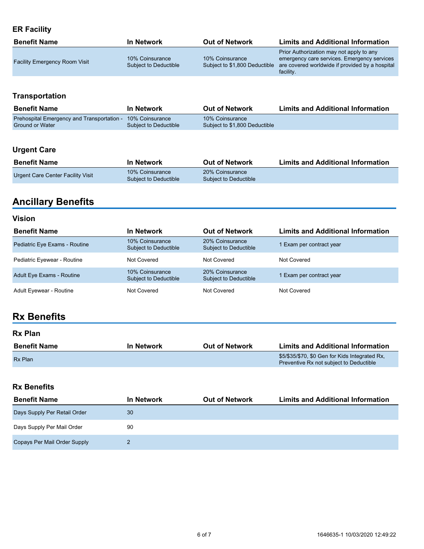## **ER Facility**

| <b>Benefit Name</b>                  | In Network                               | <b>Out of Network</b>                            | <b>Limits and Additional Information</b>                                                                                                                |
|--------------------------------------|------------------------------------------|--------------------------------------------------|---------------------------------------------------------------------------------------------------------------------------------------------------------|
| <b>Facility Emergency Room Visit</b> | 10% Coinsurance<br>Subject to Deductible | 10% Coinsurance<br>Subject to \$1,800 Deductible | Prior Authorization may not apply to any<br>emergency care services. Emergency services<br>are covered worldwide if provided by a hospital<br>facility. |

## **Transportation**

| <b>Benefit Name</b>                        | In Network            | <b>Out of Network</b>         | <b>Limits and Additional Information</b> |
|--------------------------------------------|-----------------------|-------------------------------|------------------------------------------|
| Prehospital Emergency and Transportation - | 10% Coinsurance       | 10% Coinsurance               |                                          |
| <b>Ground or Water</b>                     | Subject to Deductible | Subject to \$1,800 Deductible |                                          |

## **Urgent Care**

| <b>Benefit Name</b>               | <b>In Network</b>                        | <b>Out of Network</b>                    | <b>Limits and Additional Information</b> |
|-----------------------------------|------------------------------------------|------------------------------------------|------------------------------------------|
| Urgent Care Center Facility Visit | 10% Coinsurance<br>Subject to Deductible | 20% Coinsurance<br>Subject to Deductible |                                          |

# **Ancillary Benefits**

#### **Vision**

| <b>Benefit Name</b>              | <b>In Network</b>                               | <b>Out of Network</b>                           | <b>Limits and Additional Information</b> |
|----------------------------------|-------------------------------------------------|-------------------------------------------------|------------------------------------------|
| Pediatric Eye Exams - Routine    | 10% Coinsurance<br><b>Subject to Deductible</b> | 20% Coinsurance<br><b>Subject to Deductible</b> | 1 Exam per contract year                 |
| Pediatric Eyewear - Routine      | Not Covered                                     | Not Covered                                     | Not Covered                              |
| <b>Adult Eye Exams - Routine</b> | 10% Coinsurance<br>Subject to Deductible        | 20% Coinsurance<br><b>Subject to Deductible</b> | 1 Exam per contract year                 |
| <b>Adult Eyewear - Routine</b>   | Not Covered                                     | Not Covered                                     | Not Covered                              |

# **Rx Benefits**

| <b>Rx Plan</b>      |            |                       |                                                                                           |  |
|---------------------|------------|-----------------------|-------------------------------------------------------------------------------------------|--|
| <b>Benefit Name</b> | In Network | <b>Out of Network</b> | <b>Limits and Additional Information</b>                                                  |  |
| <b>Rx Plan</b>      |            |                       | \$5/\$35/\$70, \$0 Gen for Kids Integrated Rx,<br>Preventive Rx not subject to Deductible |  |

### **Rx Benefits**

| <b>Benefit Name</b>          | In Network | <b>Out of Network</b> | <b>Limits and Additional Information</b> |
|------------------------------|------------|-----------------------|------------------------------------------|
| Days Supply Per Retail Order | 30         |                       |                                          |
| Days Supply Per Mail Order   | 90         |                       |                                          |
| Copays Per Mail Order Supply |            |                       |                                          |